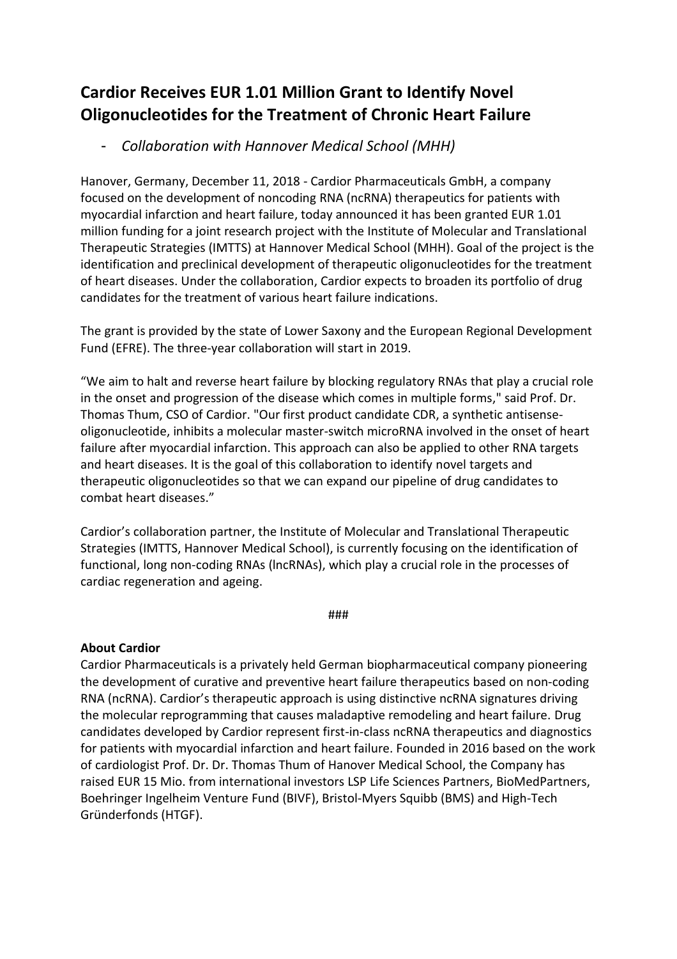# **Cardior Receives EUR 1.01 Million Grant to Identify Novel Oligonucleotides for the Treatment of Chronic Heart Failure**

- *Collaboration with Hannover Medical School (MHH)*

Hanover, Germany, December 11, 2018 - Cardior Pharmaceuticals GmbH, a company focused on the development of noncoding RNA (ncRNA) therapeutics for patients with myocardial infarction and heart failure, today announced it has been granted EUR 1.01 million funding for a joint research project with the Institute of Molecular and Translational Therapeutic Strategies (IMTTS) at Hannover Medical School (MHH). Goal of the project is the identification and preclinical development of therapeutic oligonucleotides for the treatment of heart diseases. Under the collaboration, Cardior expects to broaden its portfolio of drug candidates for the treatment of various heart failure indications.

The grant is provided by the state of Lower Saxony and the European Regional Development Fund (EFRE). The three-year collaboration will start in 2019.

"We aim to halt and reverse heart failure by blocking regulatory RNAs that play a crucial role in the onset and progression of the disease which comes in multiple forms," said Prof. Dr. Thomas Thum, CSO of Cardior. "Our first product candidate CDR, a synthetic antisenseoligonucleotide, inhibits a molecular master-switch microRNA involved in the onset of heart failure after myocardial infarction. This approach can also be applied to other RNA targets and heart diseases. It is the goal of this collaboration to identify novel targets and therapeutic oligonucleotides so that we can expand our pipeline of drug candidates to combat heart diseases."

Cardior's collaboration partner, the Institute of Molecular and Translational Therapeutic Strategies (IMTTS, Hannover Medical School), is currently focusing on the identification of functional, long non-coding RNAs (lncRNAs), which play a crucial role in the processes of cardiac regeneration and ageing.

###

### **About Cardior**

Cardior Pharmaceuticals is a privately held German biopharmaceutical company pioneering the development of curative and preventive heart failure therapeutics based on non-coding RNA (ncRNA). Cardior's therapeutic approach is using distinctive ncRNA signatures driving the molecular reprogramming that causes maladaptive remodeling and heart failure. Drug candidates developed by Cardior represent first-in-class ncRNA therapeutics and diagnostics for patients with myocardial infarction and heart failure. Founded in 2016 based on the work of cardiologist Prof. Dr. Dr. Thomas Thum of Hanover Medical School, the Company has raised EUR 15 Mio. from international investors LSP Life Sciences Partners, BioMedPartners, Boehringer Ingelheim Venture Fund (BIVF), Bristol-Myers Squibb (BMS) and High-Tech Gründerfonds (HTGF).